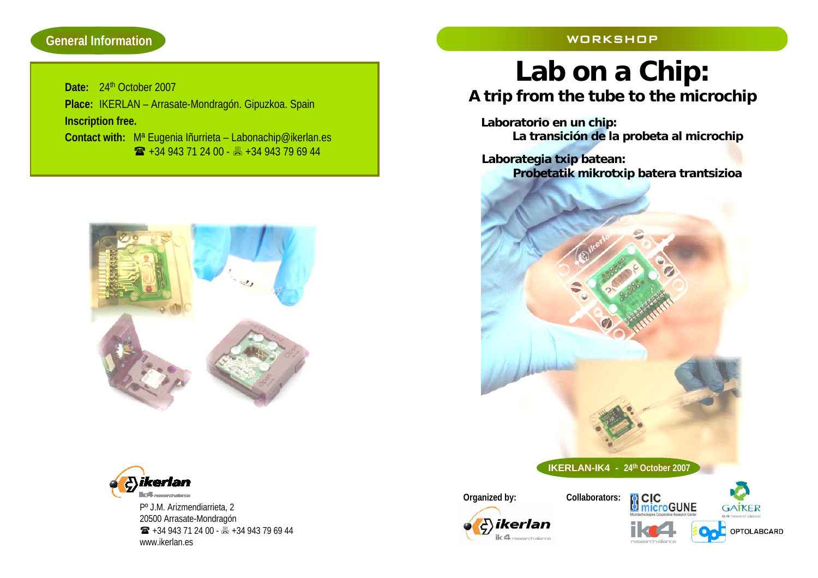### **General Information**

#### WORKSHOP

**Date:** 24th October 2007**Place:** IKERLAN – Arrasate-Mondragón. Gipuzkoa. Spain **Inscription free. Contact with:** Mª Eugenia Iñurrieta – Labonachip@ikerlan.es  $\bullet$  +34 943 71 24 00 -  $\bullet$  +34 943 79 69 44





Pº J.M. Arizmendiarrieta, 2 20500 Arrasate-Mondragón +34 943 71 24 00 - +34 943 79 69 44 www.ikerlan.es

**Lab on a Chip:**

# **A trip from the tube to the microchip**

**Laboratorio en un chip: La transición de la probeta al microchip**

**Laborategia txip batean: Probetatik mikrotxip batera trantsizioa** 



**CIC**<br>**InicroGUNE GAIKER** OPTOLABCARD research aliance

**IKERLAN-IK4 - 24th October 2007**